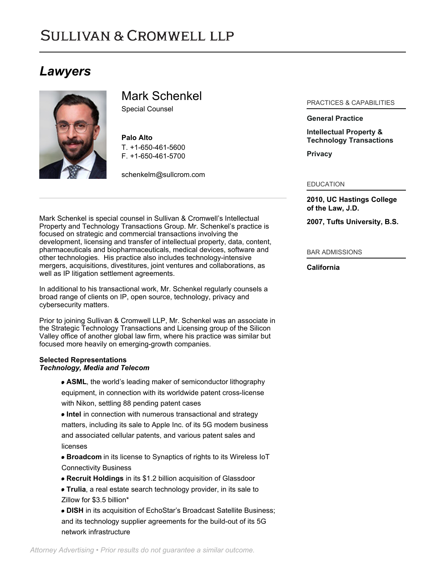# **SULLIVAN & CROMWELL LLP**

# *Lawyers*



Mark Schenkel

Special Counsel

**Palo Alto** T. [+1-650-461-5600](tel:+1-650-461-5600) F. [+1-650-461-5700](tel:+1-650-461-5700)

[schenkelm@sullcrom.com](https://www.sullcrom.com/email-disclaimer?profsid=lawyers/mark-schenkel)

Mark Schenkel is special counsel in Sullivan & Cromwell's Intellectual Property and Technology Transactions Group. Mr. Schenkel's practice is focused on strategic and commercial transactions involving the development, licensing and transfer of intellectual property, data, content, pharmaceuticals and biopharmaceuticals, medical devices, software and other technologies. His practice also includes technology-intensive mergers, acquisitions, divestitures, joint ventures and collaborations, as well as IP litigation settlement agreements.

In additional to his transactional work, Mr. Schenkel regularly counsels a broad range of clients on IP, open source, technology, privacy and cybersecurity matters.

Prior to joining Sullivan & Cromwell LLP, Mr. Schenkel was an associate in the Strategic Technology Transactions and Licensing group of the Silicon Valley office of another global law firm, where his practice was similar but focused more heavily on emerging-growth companies.

## **Selected Representations** *Technology, Media and Telecom*

**ASML**, the world's leading maker of semiconductor lithography equipment, in connection with its worldwide patent cross-license with Nikon, settling 88 pending patent cases

**Intel** in connection with numerous transactional and strategy matters, including its sale to Apple Inc. of its 5G modem business and associated cellular patents, and various patent sales and licenses

**Broadcom** in its license to Synaptics of rights to its Wireless IoT Connectivity Business

**Recruit Holdings** in its \$1.2 billion acquisition of Glassdoor

**Trulia**, a real estate search technology provider, in its sale to Zillow for \$3.5 billion\*

**DISH** in its acquisition of EchoStar's Broadcast Satellite Business; and its technology supplier agreements for the build-out of its 5G network infrastructure

### PRACTICES & CAPABILITIES

**[General Practice](https://www.sullcrom.com/general-practice)**

**[Intellectual Property &](https://www.sullcrom.com/Intellectual-Property-and-Technology-Practices) [Technology Transactions](https://www.sullcrom.com/Intellectual-Property-and-Technology-Practices)**

**[Privacy](https://www.sullcrom.com/privacy-practice)**

EDUCATION

**2010, UC Hastings College of the Law, J.D.** 

**2007, Tufts University, B.S.** 

#### BAR ADMISSIONS

**California**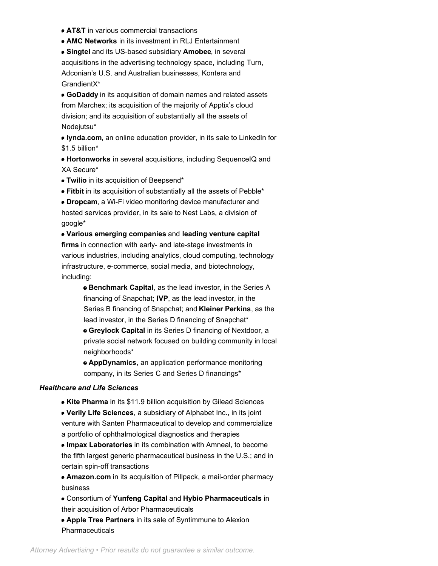- **AT&T** in various commercial transactions
- **AMC Networks** in its investment in RLJ Entertainment

**Singtel** and its US-based subsidiary **Amobee**, in several acquisitions in the advertising technology space, including Turn, Adconian's U.S. and Australian businesses, Kontera and GrandientX\*

**GoDaddy** in its acquisition of domain names and related assets from Marchex; its acquisition of the majority of Apptix's cloud division; and its acquisition of substantially all the assets of Nodejutsu\*

**lynda.com**, an online education provider, in its sale to LinkedIn for \$1.5 billion\*

**Hortonworks** in several acquisitions, including SequenceIQ and XA Secure\*

**Twilio** in its acquisition of Beepsend\*

**Fitbit** in its acquisition of substantially all the assets of Pebble\*

**Dropcam**, a Wi-Fi video monitoring device manufacturer and hosted services provider, in its sale to Nest Labs, a division of google\*

**Various emerging companies** and **leading venture capital firms** in connection with early- and late-stage investments in various industries, including analytics, cloud computing, technology infrastructure, e-commerce, social media, and biotechnology, including:

**Benchmark Capital**, as the lead investor, in the Series A financing of Snapchat; **IVP**, as the lead investor, in the Series B financing of Snapchat; and **Kleiner Perkins**, as the lead investor, in the Series D financing of Snapchat\* **Greylock Capital** in its Series D financing of Nextdoor, a private social network focused on building community in local neighborhoods\*

**AppDynamics**, an application performance monitoring company, in its Series C and Series D financings\*

### *Healthcare and Life Sciences*

- **Kite Pharma** in its \$11.9 billion acquisition by Gilead Sciences
- **Verily Life Sciences**, a subsidiary of Alphabet Inc., in its joint venture with Santen Pharmaceutical to develop and commercialize a portfolio of ophthalmological diagnostics and therapies

**Impax Laboratories** in its combination with Amneal, to become the fifth largest generic pharmaceutical business in the U.S.; and in certain spin-off transactions

**Amazon.com** in its acquisition of Pillpack, a mail-order pharmacy business

Consortium of **Yunfeng Capital** and **Hybio Pharmaceuticals** in their acquisition of Arbor Pharmaceuticals

**Apple Tree Partners** in its sale of Syntimmune to Alexion Pharmaceuticals